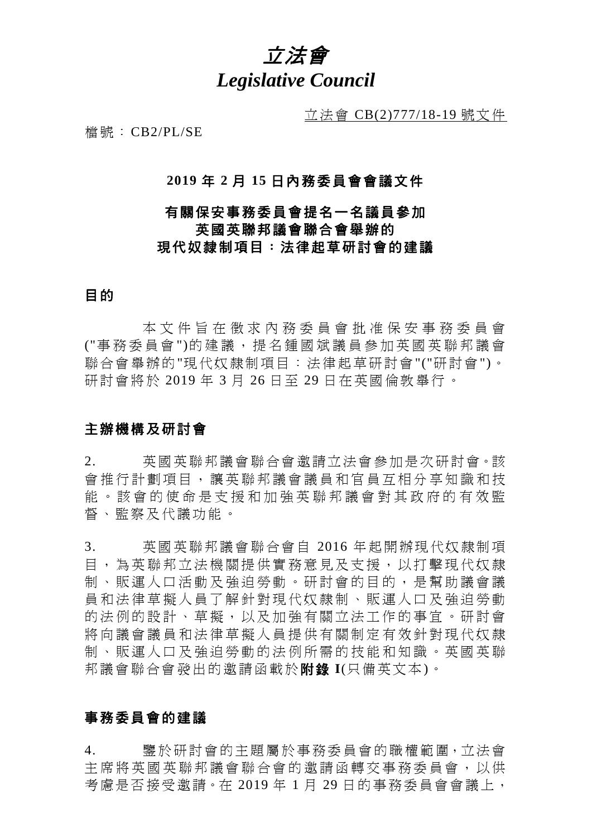

立法會 CB(2)777/18-19 號文件

檔號:CB2/PL/SE

### **2019** 年 **2** 月 **15** 日內務委員會會議文件

# 有關保安事務委員會提名一名議員參加 英國英聯邦議會聯合會舉辦的 現代奴隸制項目:法律起草研討會的建議

# 目的

本文件 旨 在 徵求內務委員會批准 保 安 事務委員會 ("事 務委員會 ")的建議, 提 名 鍾國斌 議 員 參 加 英國英聯邦議會 聯合會舉辦的"現代奴隸制項目:法律起草研討會"("研討會")。 研討會將於 2019 年 3 月 26 日至 29 日在英國倫敦舉行。

# 主辦機構及研討會

2. 英國英聯邦議會聯合會邀請立法會參加是次研討會。該 會 推 行計 劃 項目 , 讓英聯邦議會議員和官員 互相分享知識和技 能。該會的使命是支援和加強英聯邦議會對其政府的有效監 督、監察及代議功能。

3. 英國英聯邦議會聯合會自 2016 年起開辦現代奴隸制項 目 , 為英聯邦立法機關 提供實 務 意見 及支援 , 以打 擊 現代奴隸 制 、 販運人口活動 及強迫勞動 。 研討會的目 的 ,是 幫 助議會議 員 和 法律草擬人員 了解 針 對現 代 奴隸制 、販運人口 及 強迫勞動 的法例的設計、草擬,以及加強有關立法工作的事宜。研討會 將向議會議員和法律草擬人員提供有關制定有效針對現代奴隸 制 、 販運人口及 強迫勞動 的法 例 所需 的 技能和知識 。 英國 英 聯 邦議會聯合會發出的邀請函載於附錄 **I**(只備英文本)。

# 事務委員會的建議

4. 鑒於研討會的主題屬於事務委員會的職權範圍,立法會 主席將英 國 英聯邦議會 聯合會 的邀請函轉交事務委員會,以供 考慮是否接受邀請。在 2019年1月29日的事務委員會會議上,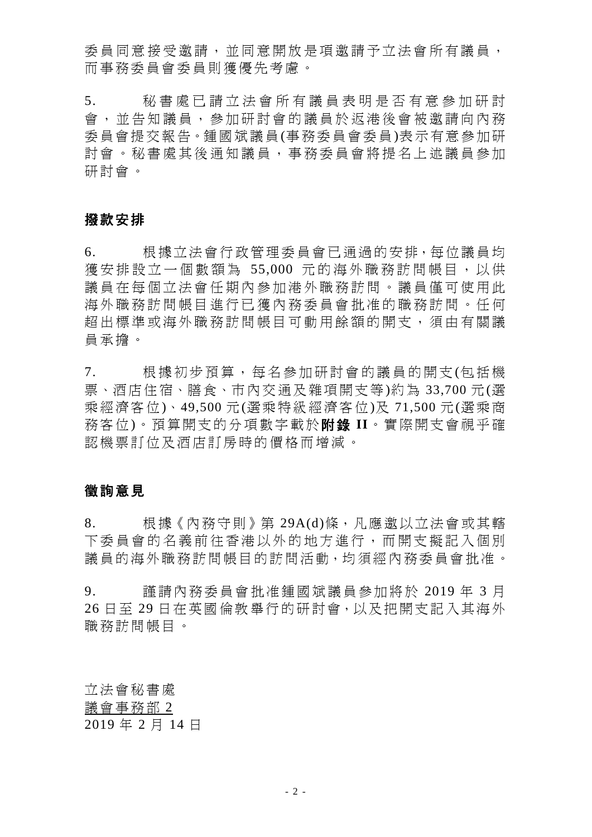委員同意接受激請,並同意開放是項激請予立法會所有議員, 而事務委員會委員則獲優先考慮。

5. 秘書處已請立法會所有議員表明是否有意參加研討 會,並告知議員,參加研討會的議員於返港後會被邀請向內務 委員會提交報告。鍾國斌議員(事務委員會委員)表示有意參加研 討會。秘書處其後通知議員,事務委員會將提名上述議員參加 研討會。

#### 撥款安排

6. 根據立法會行政管理委員會已通過的安排,每位議員均 獲安排設立一個數額為 55,000 元的海外職務訪問帳目, 以供 議員在每個立法會任期內參加港外職務訪問。議員僅可使用此 海外職務訪問帳目進行已獲內務委員會批准的職務訪問。任何 超出標準或海外職務訪問帳目可動用餘額的開支, 須 由有關議 員承擔。

7. 根據初步預算,每名參加研討會的議員的開支(包括機 票、酒店住宿、膳食、市內交通及雜項開支等)約為 33,700 元(選 乘經濟客位)、49,500 元(選乘特級經濟客位)及 71,500 元(選乘商 務客位)。預算開支的分項數字載於附錄 **II**。實際開支會視乎確 認機票訂位及酒店訂房時的價格而增減。

### 徵詢意見

8. 根據《內務守則》第 29A(d)條,凡應邀以立法會或其轄 下委員會的名義前往香港以外的地方進行,而開支擬記入個別 議員的海外職務訪問帳目的訪問活動,均須經內務委員會批准。

9. 謹請內務委員會批准鍾國斌議員參加將於 2019 年 3 月 26 日至 29 日在英國倫敦舉行的研討會,以及把開支記入其海外 職務訪問帳目。

立法會秘書處 議會事務部 2 2019 年 2 月 14 日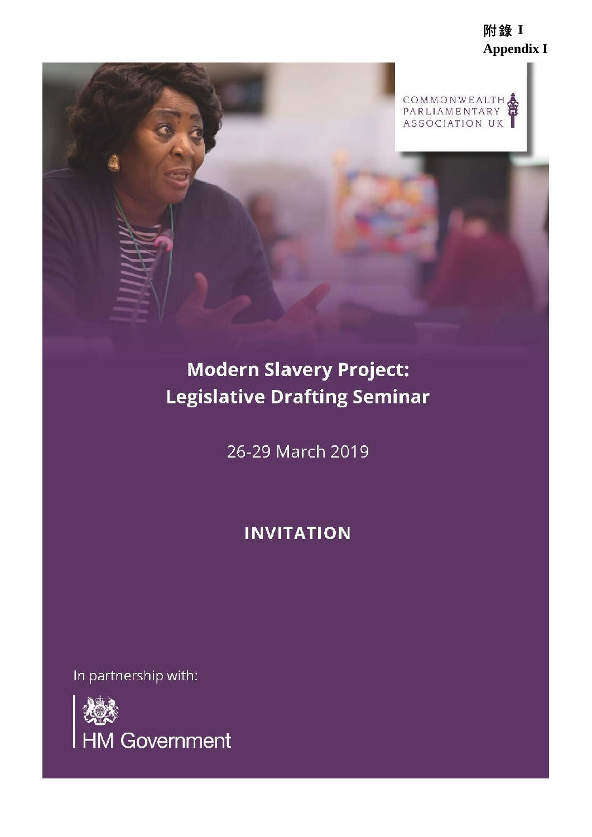附錄 **I Appendix I** 



# **Modern Slavery Project: Legislative Drafting Seminar**

26-29 March 2019

# **INVITATION**

In partnership with:

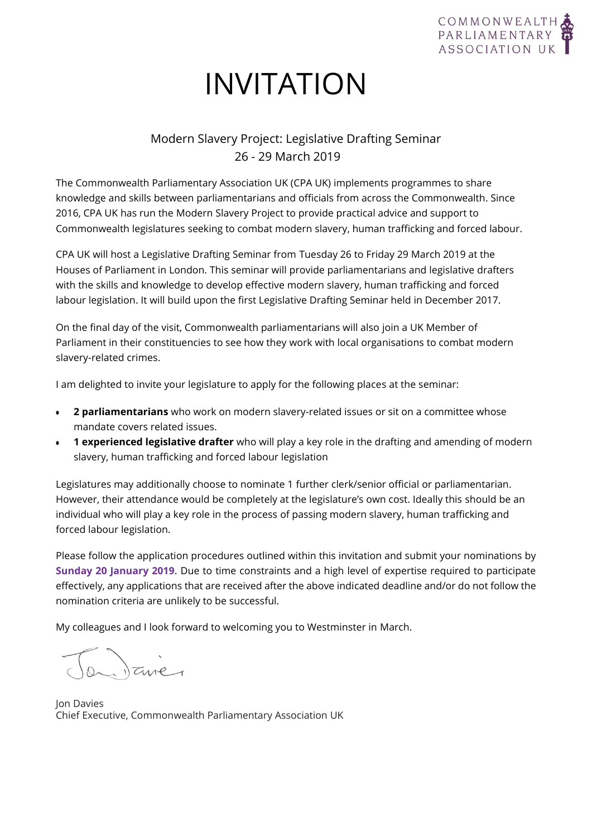

# INVITATION

# Modern Slavery Project: Legislative Drafting Seminar 26 - 29 March 2019

The Commonwealth Parliamentary Association UK (CPA UK) implements programmes to share knowledge and skills between parliamentarians and officials from across the Commonwealth. Since 2016, CPA UK has run the Modern Slavery Project to provide practical advice and support to Commonwealth legislatures seeking to combat modern slavery, human trafficking and forced labour.

CPA UK will host a Legislative Drafting Seminar from Tuesday 26 to Friday 29 March 2019 at the Houses of Parliament in London. This seminar will provide parliamentarians and legislative drafters with the skills and knowledge to develop effective modern slavery, human trafficking and forced labour legislation. It will build upon the first Legislative Drafting Seminar held in December 2017.

On the final day of the visit, Commonwealth parliamentarians will also join a UK Member of Parliament in their constituencies to see how they work with local organisations to combat modern slavery-related crimes.

I am delighted to invite your legislature to apply for the following places at the seminar:

- **2 parliamentarians** who work on modern slavery-related issues or sit on a committee whose mandate covers related issues.
- **1 experienced legislative drafter** who will play a key role in the drafting and amending of modern slavery, human trafficking and forced labour legislation

Legislatures may additionally choose to nominate 1 further clerk/senior official or parliamentarian. However, their attendance would be completely at the legislature's own cost. Ideally this should be an individual who will play a key role in the process of passing modern slavery, human trafficking and forced labour legislation.

Please follow the application procedures outlined within this invitation and submit your nominations by **Sunday 20 January 2019**. Due to time constraints and a high level of expertise required to participate effectively, any applications that are received after the above indicated deadline and/or do not follow the nomination criteria are unlikely to be successful.

My colleagues and I look forward to welcoming you to Westminster in March.

ilane

Jon Davies Chief Executive, Commonwealth Parliamentary Association UK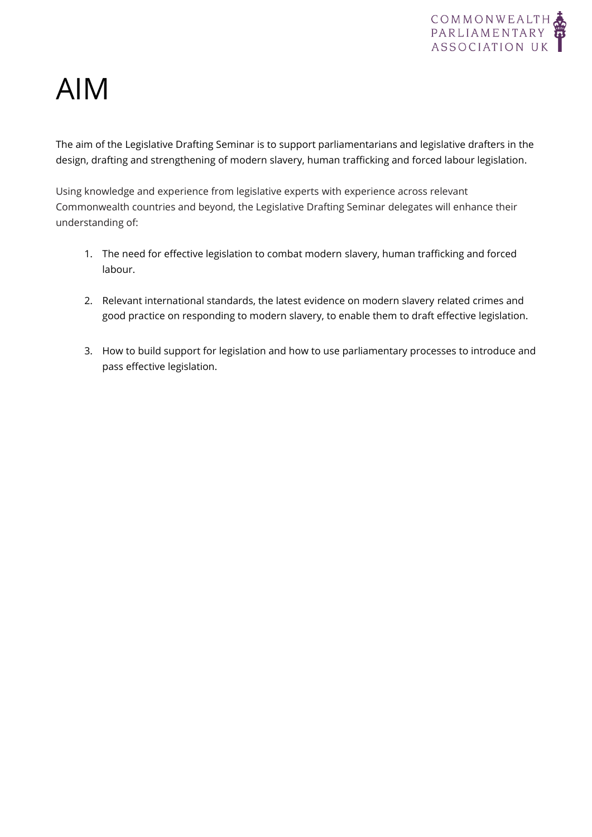

# AIM

The aim of the Legislative Drafting Seminar is to support parliamentarians and legislative drafters in the design, drafting and strengthening of modern slavery, human trafficking and forced labour legislation.

Using knowledge and experience from legislative experts with experience across relevant Commonwealth countries and beyond, the Legislative Drafting Seminar delegates will enhance their understanding of:

- 1. The need for effective legislation to combat modern slavery, human trafficking and forced labour.
- 2. Relevant international standards, the latest evidence on modern slavery related crimes and good practice on responding to modern slavery, to enable them to draft effective legislation.
- 3. How to build support for legislation and how to use parliamentary processes to introduce and pass effective legislation.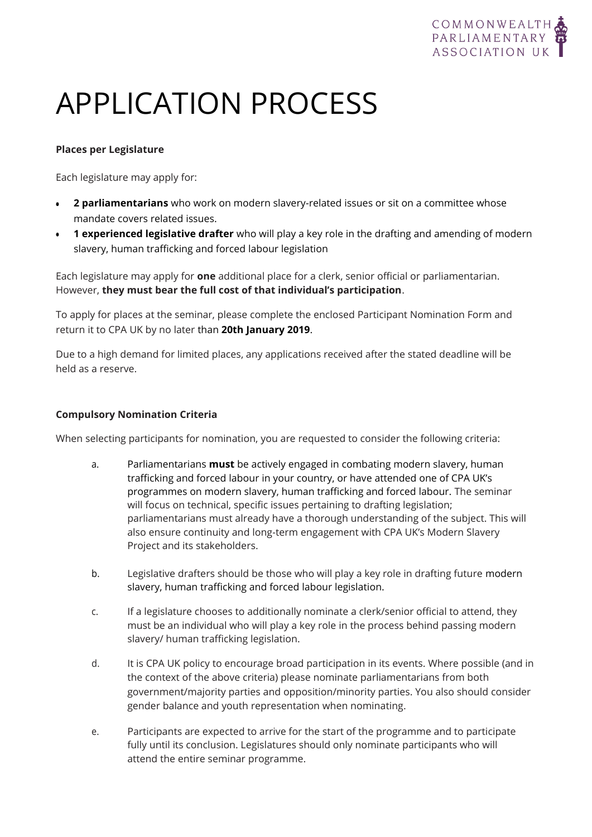

# APPLICATION PROCESS

#### **Places per Legislature**

Each legislature may apply for:

- **2 parliamentarians** who work on modern slavery-related issues or sit on a committee whose mandate covers related issues.
- **1 experienced legislative drafter** who will play a key role in the drafting and amending of modern slavery, human trafficking and forced labour legislation

Each legislature may apply for **one** additional place for a clerk, senior official or parliamentarian. However, **they must bear the full cost of that individual's participation**.

To apply for places at the seminar, please complete the enclosed Participant Nomination Form and return it to CPA UK by no later than **20th January 2019**.

Due to a high demand for limited places, any applications received after the stated deadline will be held as a reserve.

#### **Compulsory Nomination Criteria**

When selecting participants for nomination, you are requested to consider the following criteria:

- a. Parliamentarians **must** be actively engaged in combating modern slavery, human trafficking and forced labour in your country, or have attended one of CPA UK's programmes on modern slavery, human trafficking and forced labour. The seminar will focus on technical, specific issues pertaining to drafting legislation; parliamentarians must already have a thorough understanding of the subject. This will also ensure continuity and long-term engagement with CPA UK's Modern Slavery Project and its stakeholders.
- b. Legislative drafters should be those who will play a key role in drafting future modern slavery, human trafficking and forced labour legislation.
- c. If a legislature chooses to additionally nominate a clerk/senior official to attend, they must be an individual who will play a key role in the process behind passing modern slavery/ human trafficking legislation.
- d. It is CPA UK policy to encourage broad participation in its events. Where possible (and in the context of the above criteria) please nominate parliamentarians from both government/majority parties and opposition/minority parties. You also should consider gender balance and youth representation when nominating.
- e. Participants are expected to arrive for the start of the programme and to participate fully until its conclusion. Legislatures should only nominate participants who will attend the entire seminar programme.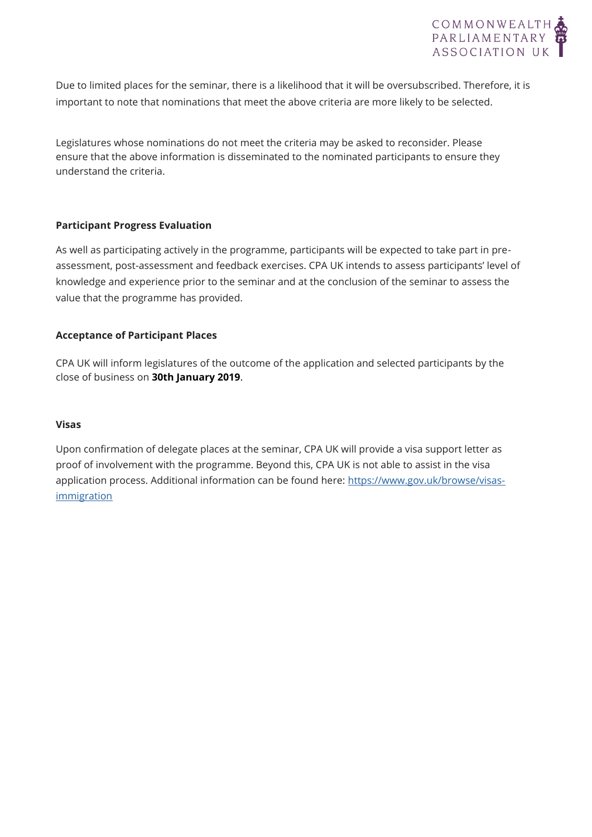

Due to limited places for the seminar, there is a likelihood that it will be oversubscribed. Therefore, it is important to note that nominations that meet the above criteria are more likely to be selected.

Legislatures whose nominations do not meet the criteria may be asked to reconsider. Please ensure that the above information is disseminated to the nominated participants to ensure they understand the criteria.

#### **Participant Progress Evaluation**

As well as participating actively in the programme, participants will be expected to take part in preassessment, post-assessment and feedback exercises. CPA UK intends to assess participants' level of knowledge and experience prior to the seminar and at the conclusion of the seminar to assess the value that the programme has provided.

#### **Acceptance of Participant Places**

CPA UK will inform legislatures of the outcome of the application and selected participants by the close of business on **30th January 2019**.

#### **Visas**

Upon confirmation of delegate places at the seminar, CPA UK will provide a visa support letter as proof of involvement with the programme. Beyond this, CPA UK is not able to assist in the visa application process. Additional information can be found here: [https://www.gov.uk/browse/visas](http://www.gov.uk/browse/visas-immigration)[immigration](http://www.gov.uk/browse/visas-immigration)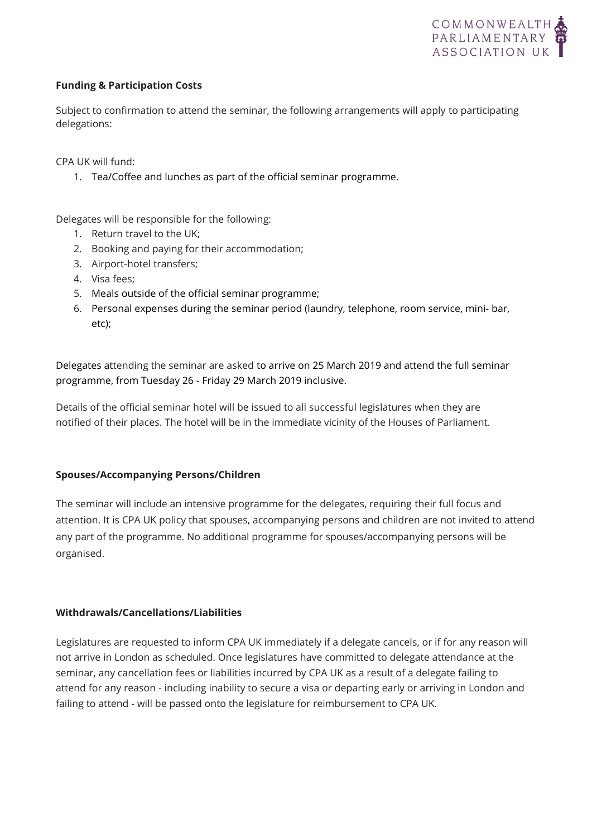

#### **Funding & Participation Costs**

Subject to confirmation to attend the seminar, the following arrangements will apply to participating delegations:

CPA UK will fund:

1. Tea/Coffee and lunches as part of the official seminar programme.

Delegates will be responsible for the following:

- 1. Return travel to the UK;
- 2. Booking and paying for their accommodation;
- 3. Airport-hotel transfers;
- 4. Visa fees;
- 5. Meals outside of the official seminar programme;
- 6. Personal expenses during the seminar period (laundry, telephone, room service, mini- bar, etc);

Delegates attending the seminar are asked to arrive on 25 March 2019 and attend the full seminar programme, from Tuesday 26 - Friday 29 March 2019 inclusive.

Details of the official seminar hotel will be issued to all successful legislatures when they are notified of their places. The hotel will be in the immediate vicinity of the Houses of Parliament.

#### **Spouses/Accompanying Persons/Children**

The seminar will include an intensive programme for the delegates, requiring their full focus and attention. It is CPA UK policy that spouses, accompanying persons and children are not invited to attend any part of the programme. No additional programme for spouses/accompanying persons will be organised.

#### **Withdrawals/Cancellations/Liabilities**

Legislatures are requested to inform CPA UK immediately if a delegate cancels, or if for any reason will not arrive in London as scheduled. Once legislatures have committed to delegate attendance at the seminar, any cancellation fees or liabilities incurred by CPA UK as a result of a delegate failing to attend for any reason - including inability to secure a visa or departing early or arriving in London and failing to attend - will be passed onto the legislature for reimbursement to CPA UK.